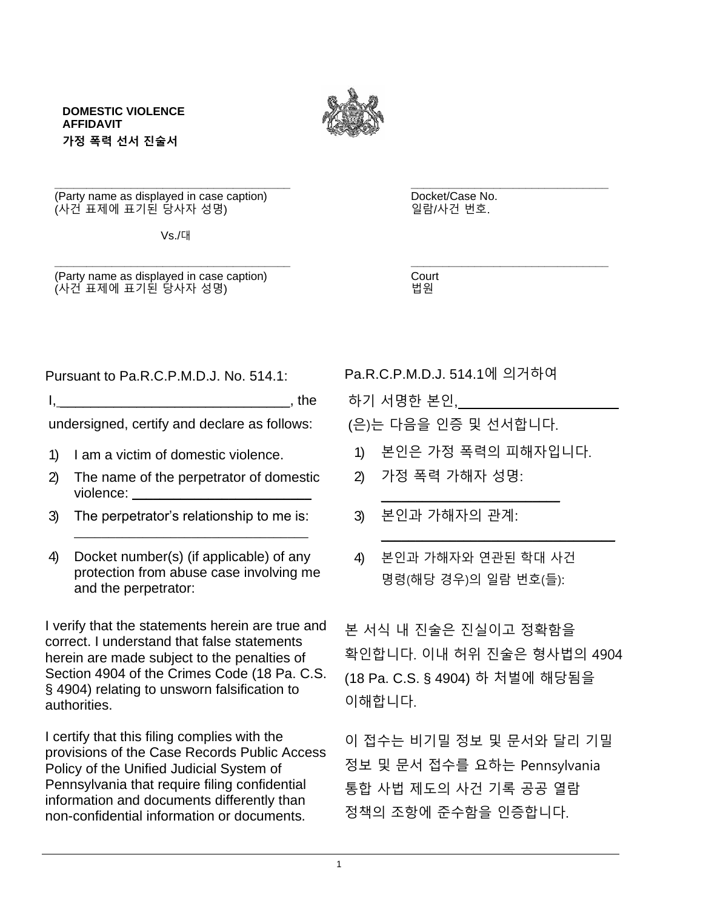

**DOMESTIC VIOLENCE AFFIDAVIT 가정 폭력 선서 진술서**

**\_\_\_\_\_\_\_\_\_\_\_\_\_\_\_\_\_\_\_\_\_\_\_\_\_\_\_\_\_\_\_\_\_\_\_\_\_ \_\_\_\_\_\_\_\_\_\_\_\_\_\_\_\_\_\_\_\_\_\_\_\_\_\_\_\_\_\_\_** (Party name as displayed in case caption) Docket/Case No.<br>(사건 표제에 표기된 당사자 성명) 일람/사건 번호. (사건 표제에 표기된 당사자 성명)

Vs./대

**\_\_\_\_\_\_\_\_\_\_\_\_\_\_\_\_\_\_\_\_\_\_\_\_\_\_\_\_\_\_\_\_\_\_\_\_\_ \_\_\_\_\_\_\_\_\_\_\_\_\_\_\_\_\_\_\_\_\_\_\_\_\_\_\_\_\_\_\_** (Party name as displayed in case caption) Court (사건 표제에 표기된 당사자 성명) [1] The Contract to the time 법원

Pursuant to Pa.R.C.P.M.D.J. No. 514.1: Pa.R.C.P.M.D.J. 514.1에 의거하여

 $I,$   $I,$   $I,$   $I$ 

undersigned, certify and declare as follows:

- 1) I am a victim of domestic violence.
- 2) The name of the perpetrator of domestic violence:
- 3) The perpetrator's relationship to me is: \_\_\_\_\_\_\_\_\_\_\_\_\_\_\_\_\_\_\_\_\_\_\_\_\_\_\_\_\_\_\_\_\_\_
- 4) Docket number(s) (if applicable) of any protection from abuse case involving me and the perpetrator:

I verify that the statements herein are true and correct. I understand that false statements herein are made subject to the penalties of Section 4904 of the Crimes Code (18 Pa. C.S. § 4904) relating to unsworn falsification to authorities.

I certify that this filing complies with the provisions of the Case Records Public Access Policy of the Unified Judicial System of Pennsylvania that require filing confidential information and documents differently than non-confidential information or documents.

- 하기 서명한 본인,
- (은)는 다음을 인증 및 선서합니다.
- 1) 본인은 가정 폭력의 피해자입니다.

 $\overline{\phantom{a}}$  , where  $\overline{\phantom{a}}$  , where  $\overline{\phantom{a}}$  , where  $\overline{\phantom{a}}$ 

\_\_\_\_\_\_\_\_\_\_\_\_\_\_\_\_\_\_\_\_\_\_\_\_\_\_\_\_\_\_\_\_\_\_

- 2) 가정 폭력 가해자 성명:
- 3) 본인과 가해자의 관계:
- 4) 본인과 가해자와 연관된 학대 사건 명령(해당 경우)의 일람 번호(들):

본 서식 내 진술은 진실이고 정확함을 확인합니다. 이내 허위 진술은 형사법의 4904 (18 Pa. C.S. § 4904) 하 처벌에 해당됨을 이해합니다.

이 접수는 비기밀 정보 및 문서와 달리 기밀 정보 및 문서 접수를 요하는 Pennsylvania 통합 사법 제도의 사건 기록 공공 열람 정책의 조항에 준수함을 인증합니다.

1